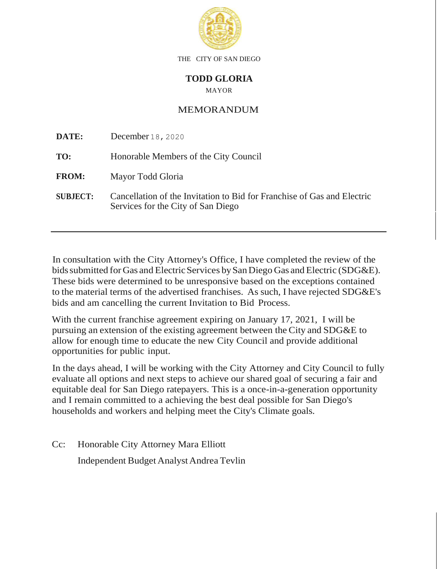

THE CITY OF SAN DIEGO

## **TODD GLORIA**

MAYOR

## MEMORANDUM

| DATE:           | December 18, 2020                                                                                             |
|-----------------|---------------------------------------------------------------------------------------------------------------|
| TO:             | Honorable Members of the City Council                                                                         |
| <b>FROM:</b>    | Mayor Todd Gloria                                                                                             |
| <b>SUBJECT:</b> | Cancellation of the Invitation to Bid for Franchise of Gas and Electric<br>Services for the City of San Diego |

In consultation with the City Attorney's Office, I have completed the review of the bids submitted for Gas and Electric Services by San Diego Gas and Electric (SDG&E). These bids were determined to be unresponsive based on the exceptions contained to the material terms of the advertised franchises. As such, I have rejected SDG&E's bids and am cancelling the current Invitation to Bid Process.

With the current franchise agreement expiring on January 17, 2021, I will be pursuing an extension of the existing agreement between the City and SDG&E to allow for enough time to educate the new City Council and provide additional opportunities for public input.

In the days ahead, I will be working with the City Attorney and City Council to fully evaluate all options and next steps to achieve our shared goal of securing a fair and equitable deal for San Diego ratepayers. This is a once-in-a-generation opportunity and I remain committed to a achieving the best deal possible for San Diego's households and workers and helping meet the City's Climate goals.

Cc: Honorable City Attorney Mara Elliott Independent Budget Analyst Andrea Tevlin